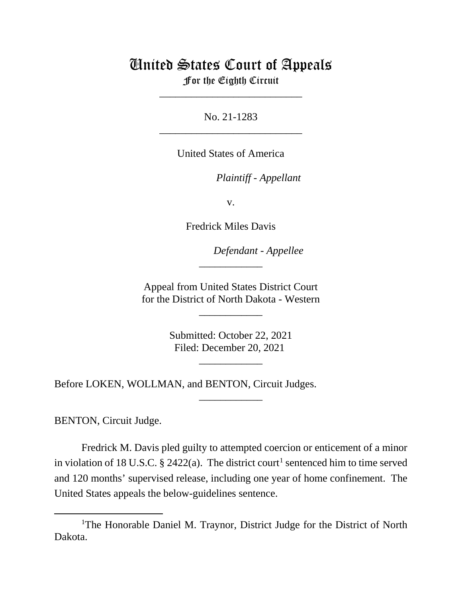## United States Court of Appeals

For the Eighth Circuit \_\_\_\_\_\_\_\_\_\_\_\_\_\_\_\_\_\_\_\_\_\_\_\_\_\_\_

No. 21-1283 \_\_\_\_\_\_\_\_\_\_\_\_\_\_\_\_\_\_\_\_\_\_\_\_\_\_\_

United States of America

*Plaintiff - Appellant*

v.

Fredrick Miles Davis

*Defendant - Appellee*

Appeal from United States District Court for the District of North Dakota - Western

\_\_\_\_\_\_\_\_\_\_\_\_

\_\_\_\_\_\_\_\_\_\_\_\_

Submitted: October 22, 2021 Filed: December 20, 2021

\_\_\_\_\_\_\_\_\_\_\_\_

\_\_\_\_\_\_\_\_\_\_\_\_

Before LOKEN, WOLLMAN, and BENTON, Circuit Judges.

BENTON, Circuit Judge.

Fredrick M. Davis pled guilty to attempted coercion or enticement of a minor in violation of [1](#page-0-0)8 U.S.C. § 2422(a). The district court<sup>1</sup> sentenced him to time served and 120 months' supervised release, including one year of home confinement. The United States appeals the below-guidelines sentence.

<span id="page-0-0"></span><sup>&</sup>lt;sup>1</sup>The Honorable Daniel M. Traynor, District Judge for the District of North Dakota.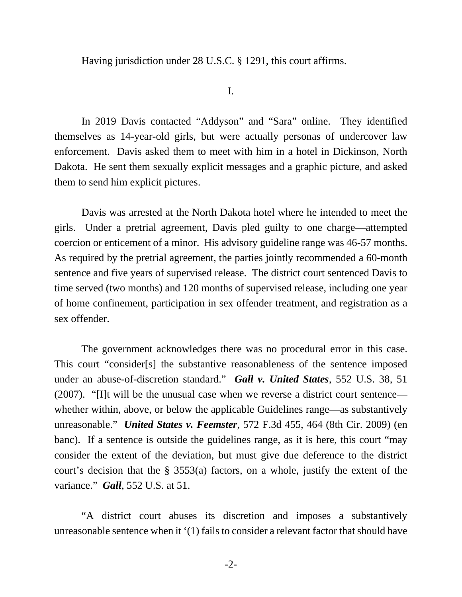Having jurisdiction under 28 U.S.C. § 1291, this court affirms.

I.

In 2019 Davis contacted "Addyson" and "Sara" online. They identified themselves as 14-year-old girls, but were actually personas of undercover law enforcement. Davis asked them to meet with him in a hotel in Dickinson, North Dakota. He sent them sexually explicit messages and a graphic picture, and asked them to send him explicit pictures.

Davis was arrested at the North Dakota hotel where he intended to meet the girls. Under a pretrial agreement, Davis pled guilty to one charge—attempted coercion or enticement of a minor. His advisory guideline range was 46-57 months. As required by the pretrial agreement, the parties jointly recommended a 60-month sentence and five years of supervised release. The district court sentenced Davis to time served (two months) and 120 months of supervised release, including one year of home confinement, participation in sex offender treatment, and registration as a sex offender.

The government acknowledges there was no procedural error in this case. This court "consider[s] the substantive reasonableness of the sentence imposed under an abuse-of-discretion standard." *Gall v. United States*, 552 U.S. 38, 51 (2007). "[I]t will be the unusual case when we reverse a district court sentence whether within, above, or below the applicable Guidelines range—as substantively unreasonable." *United States v. Feemster*, 572 F.3d 455, 464 (8th Cir. 2009) (en banc). If a sentence is outside the guidelines range, as it is here, this court "may consider the extent of the deviation, but must give due deference to the district court's decision that the § 3553(a) factors, on a whole, justify the extent of the variance." *Gall*, 552 U.S. at 51.

"A district court abuses its discretion and imposes a substantively unreasonable sentence when it '(1) fails to consider a relevant factor that should have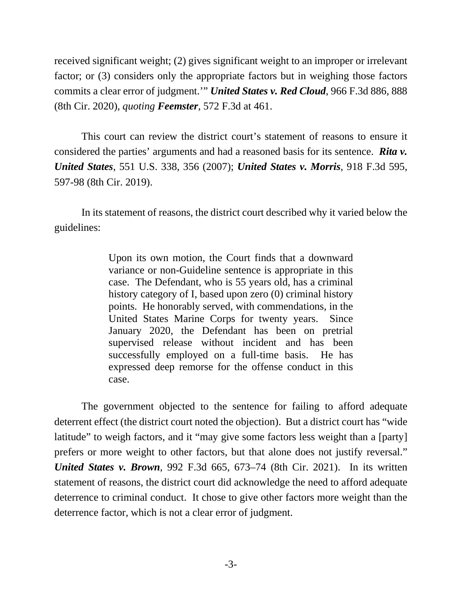received significant weight; (2) gives significant weight to an improper or irrelevant factor; or (3) considers only the appropriate factors but in weighing those factors commits a clear error of judgment.'" *United States v. Red Cloud*, 966 F.3d 886, 888 (8th Cir. 2020), *quoting Feemster*, 572 F.3d at 461.

This court can review the district court's statement of reasons to ensure it considered the parties' arguments and had a reasoned basis for its sentence. *Rita v. United States*, 551 U.S. 338, 356 (2007); *United States v. Morris*, 918 F.3d 595, 597-98 (8th Cir. 2019).

In its statement of reasons, the district court described why it varied below the guidelines:

> Upon its own motion, the Court finds that a downward variance or non-Guideline sentence is appropriate in this case. The Defendant, who is 55 years old, has a criminal history category of I, based upon zero (0) criminal history points. He honorably served, with commendations, in the United States Marine Corps for twenty years. Since January 2020, the Defendant has been on pretrial supervised release without incident and has been successfully employed on a full-time basis. He has expressed deep remorse for the offense conduct in this case.

The government objected to the sentence for failing to afford adequate deterrent effect (the district court noted the objection). But a district court has "wide latitude" to weigh factors, and it "may give some factors less weight than a [party] prefers or more weight to other factors, but that alone does not justify reversal." *United States v. Brown*, 992 F.3d 665, 673–74 (8th Cir. 2021). In its written statement of reasons, the district court did acknowledge the need to afford adequate deterrence to criminal conduct. It chose to give other factors more weight than the deterrence factor, which is not a clear error of judgment.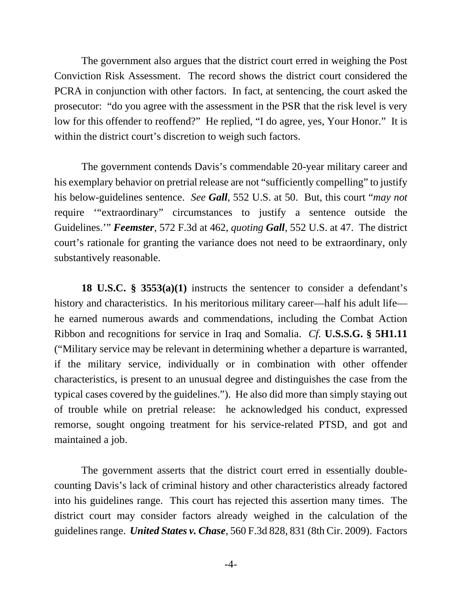The government also argues that the district court erred in weighing the Post Conviction Risk Assessment. The record shows the district court considered the PCRA in conjunction with other factors. In fact, at sentencing, the court asked the prosecutor: "do you agree with the assessment in the PSR that the risk level is very low for this offender to reoffend?" He replied, "I do agree, yes, Your Honor." It is within the district court's discretion to weigh such factors.

The government contends Davis's commendable 20-year military career and his exemplary behavior on pretrial release are not "sufficiently compelling" to justify his below-guidelines sentence. *See Gall*, 552 U.S. at 50. But, this court "*may not* require '"extraordinary" circumstances to justify a sentence outside the Guidelines.'" *Feemster*, 572 F.3d at 462, *quoting Gall*, 552 U.S. at 47. The district court's rationale for granting the variance does not need to be extraordinary, only substantively reasonable.

**18 U.S.C. § 3553(a)(1)** instructs the sentencer to consider a defendant's history and characteristics. In his meritorious military career—half his adult life he earned numerous awards and commendations, including the Combat Action Ribbon and recognitions for service in Iraq and Somalia. *Cf.* **U.S.S.G. § 5H1.11** ("Military service may be relevant in determining whether a departure is warranted, if the military service, individually or in combination with other offender characteristics, is present to an unusual degree and distinguishes the case from the typical cases covered by the guidelines."). He also did more than simply staying out of trouble while on pretrial release: he acknowledged his conduct, expressed remorse, sought ongoing treatment for his service-related PTSD, and got and maintained a job.

The government asserts that the district court erred in essentially doublecounting Davis's lack of criminal history and other characteristics already factored into his guidelines range. This court has rejected this assertion many times. The district court may consider factors already weighed in the calculation of the guidelines range. *United States v. Chase*, 560 F.3d 828, 831 (8th Cir. 2009). Factors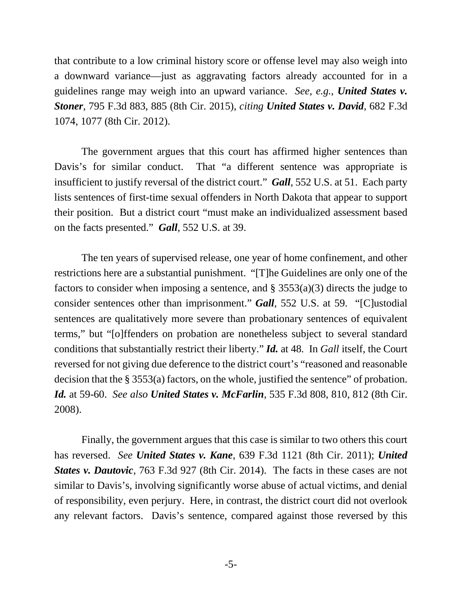that contribute to a low criminal history score or offense level may also weigh into a downward variance—just as aggravating factors already accounted for in a guidelines range may weigh into an upward variance. *See, e.g.*, *United States v. Stoner*, 795 F.3d 883, 885 (8th Cir. 2015), *citing United States v. David*, 682 F.3d 1074, 1077 (8th Cir. 2012).

The government argues that this court has affirmed higher sentences than Davis's for similar conduct. That "a different sentence was appropriate is insufficient to justify reversal of the district court." *Gall*, 552 U.S. at 51. Each party lists sentences of first-time sexual offenders in North Dakota that appear to support their position. But a district court "must make an individualized assessment based on the facts presented." *Gall*, 552 U.S. at 39.

The ten years of supervised release, one year of home confinement, and other restrictions here are a substantial punishment. "[T]he Guidelines are only one of the factors to consider when imposing a sentence, and  $\S$  3553(a)(3) directs the judge to consider sentences other than imprisonment." *Gall*, 552 U.S. at 59. "[C]ustodial sentences are qualitatively more severe than probationary sentences of equivalent terms," but "[o]ffenders on probation are nonetheless subject to several standard conditions that substantially restrict their liberty." *Id.* at 48*.* In *Gall* itself, the Court reversed for not giving due deference to the district court's "reasoned and reasonable decision that the § 3553(a) factors, on the whole, justified the sentence" of probation. *Id.* at 59-60. *See also United States v. McFarlin*, 535 F.3d 808, 810, 812 (8th Cir. 2008).

Finally, the government argues that this case is similar to two others this court has reversed. *See United States v. Kane*, 639 F.3d 1121 (8th Cir. 2011); *United States v. Dautovic*, 763 F.3d 927 (8th Cir. 2014). The facts in these cases are not similar to Davis's, involving significantly worse abuse of actual victims, and denial of responsibility, even perjury. Here, in contrast, the district court did not overlook any relevant factors. Davis's sentence, compared against those reversed by this